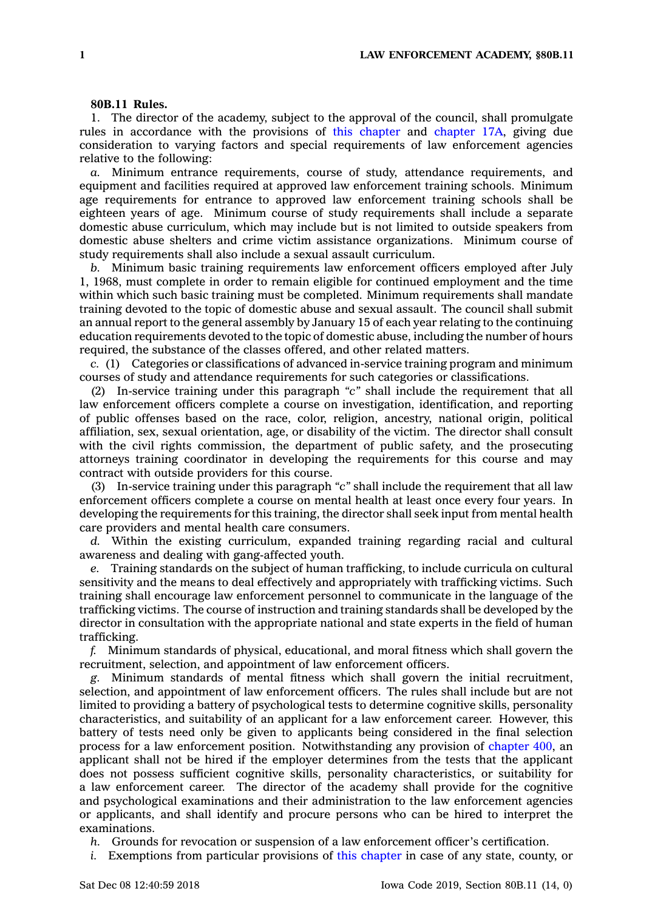## **80B.11 Rules.**

1. The director of the academy, subject to the approval of the council, shall promulgate rules in accordance with the provisions of this [chapter](https://www.legis.iowa.gov/docs/code//80B.pdf) and [chapter](https://www.legis.iowa.gov/docs/code//17A.pdf) 17A, giving due consideration to varying factors and special requirements of law enforcement agencies relative to the following:

*a.* Minimum entrance requirements, course of study, attendance requirements, and equipment and facilities required at approved law enforcement training schools. Minimum age requirements for entrance to approved law enforcement training schools shall be eighteen years of age. Minimum course of study requirements shall include <sup>a</sup> separate domestic abuse curriculum, which may include but is not limited to outside speakers from domestic abuse shelters and crime victim assistance organizations. Minimum course of study requirements shall also include <sup>a</sup> sexual assault curriculum.

*b.* Minimum basic training requirements law enforcement officers employed after July 1, 1968, must complete in order to remain eligible for continued employment and the time within which such basic training must be completed. Minimum requirements shall mandate training devoted to the topic of domestic abuse and sexual assault. The council shall submit an annual report to the general assembly by January 15 of each year relating to the continuing education requirements devoted to the topic of domestic abuse, including the number of hours required, the substance of the classes offered, and other related matters.

*c.* (1) Categories or classifications of advanced in-service training program and minimum courses of study and attendance requirements for such categories or classifications.

(2) In-service training under this paragraph *"c"* shall include the requirement that all law enforcement officers complete <sup>a</sup> course on investigation, identification, and reporting of public offenses based on the race, color, religion, ancestry, national origin, political affiliation, sex, sexual orientation, age, or disability of the victim. The director shall consult with the civil rights commission, the department of public safety, and the prosecuting attorneys training coordinator in developing the requirements for this course and may contract with outside providers for this course.

(3) In-service training under this paragraph *"c"* shall include the requirement that all law enforcement officers complete <sup>a</sup> course on mental health at least once every four years. In developing the requirements for this training, the director shall seek input from mental health care providers and mental health care consumers.

*d.* Within the existing curriculum, expanded training regarding racial and cultural awareness and dealing with gang-affected youth.

*e.* Training standards on the subject of human trafficking, to include curricula on cultural sensitivity and the means to deal effectively and appropriately with trafficking victims. Such training shall encourage law enforcement personnel to communicate in the language of the trafficking victims. The course of instruction and training standards shall be developed by the director in consultation with the appropriate national and state experts in the field of human trafficking.

*f.* Minimum standards of physical, educational, and moral fitness which shall govern the recruitment, selection, and appointment of law enforcement officers.

*g.* Minimum standards of mental fitness which shall govern the initial recruitment, selection, and appointment of law enforcement officers. The rules shall include but are not limited to providing <sup>a</sup> battery of psychological tests to determine cognitive skills, personality characteristics, and suitability of an applicant for <sup>a</sup> law enforcement career. However, this battery of tests need only be given to applicants being considered in the final selection process for <sup>a</sup> law enforcement position. Notwithstanding any provision of [chapter](https://www.legis.iowa.gov/docs/code//400.pdf) 400, an applicant shall not be hired if the employer determines from the tests that the applicant does not possess sufficient cognitive skills, personality characteristics, or suitability for <sup>a</sup> law enforcement career. The director of the academy shall provide for the cognitive and psychological examinations and their administration to the law enforcement agencies or applicants, and shall identify and procure persons who can be hired to interpret the examinations.

*h.* Grounds for revocation or suspension of <sup>a</sup> law enforcement officer's certification.

*i.* Exemptions from particular provisions of this [chapter](https://www.legis.iowa.gov/docs/code//80B.pdf) in case of any state, county, or